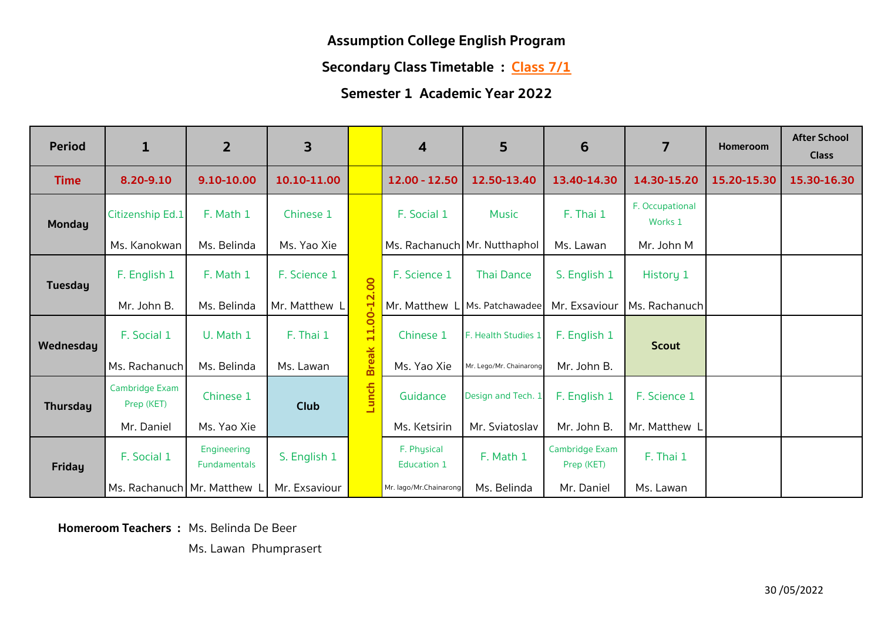**Secondary Class Timetable : Class 7/1** 

**Semester 1 Academic Year 2022**

| <b>Period</b>   | $\mathbf{1}$                 | $\overline{2}$                     | 3             |              | $\boldsymbol{4}$             | 5                       | 6                            | 7                          | Homeroom    | <b>After School</b><br><b>Class</b> |
|-----------------|------------------------------|------------------------------------|---------------|--------------|------------------------------|-------------------------|------------------------------|----------------------------|-------------|-------------------------------------|
| <b>Time</b>     | 8.20-9.10                    | 9.10-10.00                         | 10.10-11.00   |              | 12.00 - 12.50                | 12.50-13.40             | 13.40-14.30                  | 14.30-15.20                | 15.20-15.30 | 15.30-16.30                         |
| <b>Monday</b>   | Citizenship Ed.1             | F. Math 1                          | Chinese 1     |              | F. Social 1                  | <b>Music</b>            | F. Thai 1                    | F. Occupational<br>Works 1 |             |                                     |
|                 | Ms. Kanokwan                 | Ms. Belinda                        | Ms. Yao Xie   |              | Ms. Rachanuch Mr. Nutthaphol |                         | Ms. Lawan                    | Mr. John M                 |             |                                     |
| <b>Tuesday</b>  | F. English 1                 | F. Math 1                          | F. Science 1  |              | F. Science 1                 | <b>Thai Dance</b>       | S. English 1                 | History 1                  |             |                                     |
|                 | Mr. John B.                  | Ms. Belinda                        | Mr. Matthew L |              | Mr. Matthew                  | Ms. Patchawadee         | Mr. Exsaviour                | Ms. Rachanuch              |             |                                     |
| Wednesday       | F. Social 1                  | U. Math 1                          | F. Thai 1     | 11.00-12.00  | Chinese 1                    | F. Health Studies 1     | F. English 1                 | <b>Scout</b>               |             |                                     |
|                 | Ms. Rachanuch                | Ms. Belinda                        | Ms. Lawan     | <b>Break</b> | Ms. Yao Xie                  | Mr. Lego/Mr. Chainarong | Mr. John B.                  |                            |             |                                     |
| <b>Thursday</b> | Cambridge Exam<br>Prep (KET) | Chinese 1                          | <b>Club</b>   | Lunch        | Guidance                     | Design and Tech. 1      | F. English 1                 | F. Science 1               |             |                                     |
|                 | Mr. Daniel                   | Ms. Yao Xie                        |               |              | Ms. Ketsirin                 | Mr. Sviatoslav          | Mr. John B.                  | Mr. Matthew I              |             |                                     |
| <b>Friday</b>   | F. Social 1                  | Engineering<br><b>Fundamentals</b> | S. English 1  |              | F. Physical<br>Education 1   | F. Math 1               | Cambridge Exam<br>Prep (KET) | F. Thai 1                  |             |                                     |
|                 | Ms. Rachanuch Mr. Matthew L  |                                    | Mr. Exsaviour |              | Mr. lago/Mr.Chainarong       | Ms. Belinda             | Mr. Daniel                   | Ms. Lawan                  |             |                                     |

**Homeroom Teachers :** Ms. Belinda De Beer

Ms. Lawan Phumprasert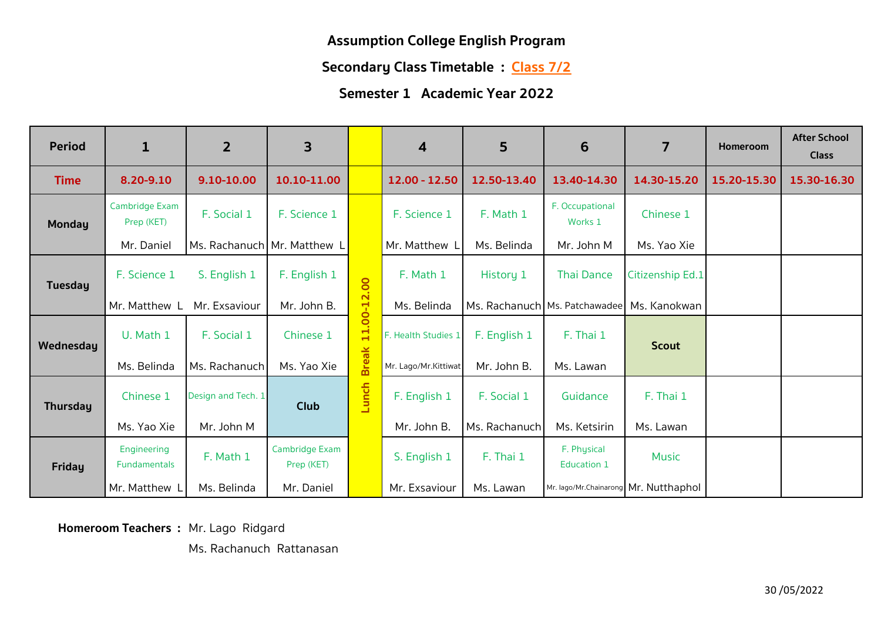**Secondary Class Timetable : Class 7/2**

## **Semester 1 Academic Year 2022**

| <b>Period</b>   | $\mathbf{1}$                 | $\overline{2}$              | 3                            |              | 4                    | 5             | 6                                     | $\overline{7}$   | Homeroom    | <b>After School</b><br><b>Class</b> |
|-----------------|------------------------------|-----------------------------|------------------------------|--------------|----------------------|---------------|---------------------------------------|------------------|-------------|-------------------------------------|
| <b>Time</b>     | 8.20-9.10                    | 9.10-10.00                  | 10.10-11.00                  |              | 12.00 - 12.50        | 12.50-13.40   | 13.40-14.30                           | 14.30-15.20      | 15.20-15.30 | 15.30-16.30                         |
| <b>Monday</b>   | Cambridge Exam<br>Prep (KET) | F. Social 1                 | F. Science 1                 |              | F. Science 1         | F. Math 1     | F. Occupational<br>Works 1            | Chinese 1        |             |                                     |
|                 | Mr. Daniel                   | Ms. Rachanuch Mr. Matthew I |                              |              | Mr. Matthew I        | Ms. Belinda   | Mr. John M                            | Ms. Yao Xie      |             |                                     |
| <b>Tuesday</b>  | F. Science 1                 | S. English 1                | F. English 1                 |              | F. Math 1            | History 1     | <b>Thai Dance</b>                     | Citizenship Ed.1 |             |                                     |
|                 | Mr. Matthew L                | Mr. Exsaviour               | Mr. John B.                  |              | Ms. Belinda          |               | Ms. Rachanuch Ms. Patchawadee         | Ms. Kanokwan     |             |                                     |
| Wednesday       | U. Math 1                    | F. Social 1                 | Chinese 1                    | 11.00-12.00  | F. Health Studies 1  | F. English 1  | F. Thai 1                             | <b>Scout</b>     |             |                                     |
|                 | Ms. Belinda                  | Ms. Rachanuch               | Ms. Yao Xie                  | <b>Break</b> | Mr. Lago/Mr.Kittiwat | Mr. John B.   | Ms. Lawan                             |                  |             |                                     |
| <b>Thursday</b> | Chinese 1                    | Design and Tech. 1          | Club                         | Lunch        | F. English 1         | F. Social 1   | Guidance                              | F. Thai 1        |             |                                     |
|                 | Ms. Yao Xie                  | Mr. John M                  |                              |              | Mr. John B.          | Ms. Rachanuch | Ms. Ketsirin                          | Ms. Lawan        |             |                                     |
| <b>Friday</b>   | Engineering<br>Fundamentals  | F. Math 1                   | Cambridge Exam<br>Prep (KET) |              | S. English 1         | F. Thai 1     | F. Physical<br>Education 1            | <b>Music</b>     |             |                                     |
|                 | Mr. Matthew L                | Ms. Belinda                 | Mr. Daniel                   |              | Mr. Exsaviour        | Ms. Lawan     | Mr. lago/Mr.Chainarong Mr. Nutthaphol |                  |             |                                     |

**Homeroom Teachers :** Mr. Lago Ridgard

Ms. Rachanuch Rattanasan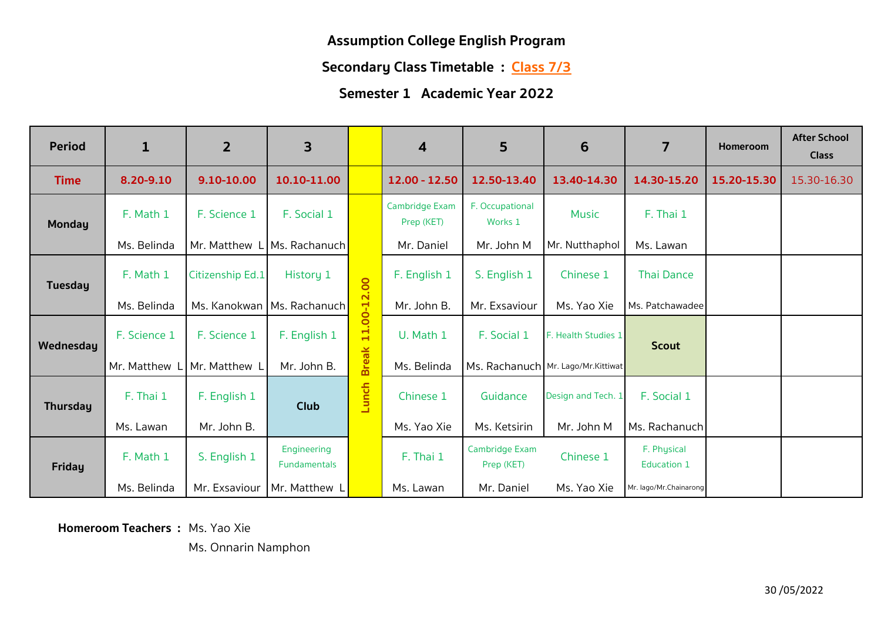# **Secondary Class Timetable : Class 7/3**

## **Semester 1 Academic Year 2022**

| <b>Period</b>   | $\mathbf{1}$ | $\overline{2}$   | 3                            |              | 4                            | 5                            | 6                                  | $\overline{7}$             | Homeroom    | <b>After School</b><br><b>Class</b> |
|-----------------|--------------|------------------|------------------------------|--------------|------------------------------|------------------------------|------------------------------------|----------------------------|-------------|-------------------------------------|
| <b>Time</b>     | 8.20-9.10    | 9.10-10.00       | 10.10-11.00                  |              | 12.00 - 12.50                | 12.50-13.40                  | 13.40-14.30                        | 14.30-15.20                | 15.20-15.30 | 15.30-16.30                         |
| <b>Monday</b>   | F. Math 1    | F. Science 1     | F. Social 1                  |              | Cambridge Exam<br>Prep (KET) | F. Occupational<br>Works 1   | <b>Music</b>                       | F. Thai 1                  |             |                                     |
|                 | Ms. Belinda  | Mr. Matthew      | Ms. Rachanuch                |              | Mr. Daniel                   | Mr. John M                   | Mr. Nutthaphol                     | Ms. Lawan                  |             |                                     |
| <b>Tuesday</b>  | F. Math 1    | Citizenship Ed.1 | History 1                    |              | F. English 1                 | S. English 1                 | Chinese 1                          | <b>Thai Dance</b>          |             |                                     |
|                 | Ms. Belinda  |                  | Ms. Kanokwan   Ms. Rachanuch |              | Mr. John B.                  | Mr. Exsaviour                | Ms. Yao Xie                        | Ms. Patchawadee            |             |                                     |
| Wednesday       | F. Science 1 | F. Science 1     | F. English 1                 | 11.00-12.00  | U. Math 1                    | F. Social 1                  | F. Health Studies 1                | <b>Scout</b>               |             |                                     |
|                 | Mr. Matthew  | Mr. Matthew I    | Mr. John B.                  | <b>Break</b> | Ms. Belinda                  |                              | Ms. Rachanuch Mr. Lago/Mr.Kittiwat |                            |             |                                     |
| <b>Thursday</b> | F. Thai 1    | F. English 1     | Club                         | Lunch        | Chinese 1                    | Guidance                     | Design and Tech. 1                 | F. Social 1                |             |                                     |
|                 | Ms. Lawan    | Mr. John B.      |                              |              | Ms. Yao Xie                  | Ms. Ketsirin                 | Mr. John M                         | Ms. Rachanuch              |             |                                     |
| <b>Friday</b>   | F. Math 1    | S. English 1     | Engineering<br>Fundamentals  |              | F. Thai 1                    | Cambridge Exam<br>Prep (KET) | Chinese 1                          | F. Physical<br>Education 1 |             |                                     |
|                 | Ms. Belinda  | Mr. Exsaviour    | Mr. Matthew L                |              | Ms. Lawan                    | Mr. Daniel                   | Ms. Yao Xie                        | Mr. lago/Mr.Chainarong     |             |                                     |

**Homeroom Teachers :** Ms. Yao Xie

Ms. Onnarin Namphon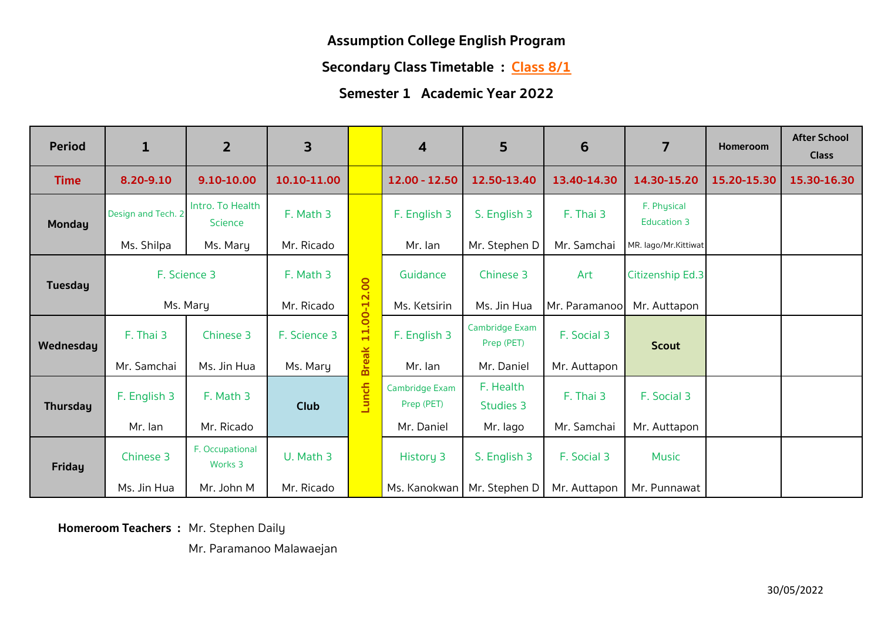**Secondary Class Timetable : Class 8/1**

#### **Semester 1 Academic Year 2022**

| <b>Period</b>   | $\mathbf{1}$       | $\overline{2}$                     | 3            |              | $\boldsymbol{4}$             | 5                            | 6             | $\overline{7}$             | Homeroom    | <b>After School</b><br><b>Class</b> |
|-----------------|--------------------|------------------------------------|--------------|--------------|------------------------------|------------------------------|---------------|----------------------------|-------------|-------------------------------------|
| <b>Time</b>     | 8.20-9.10          | 9.10-10.00                         | 10.10-11.00  |              | 12.00 - 12.50                | 12.50-13.40                  | 13.40-14.30   | 14.30-15.20                | 15.20-15.30 | 15.30-16.30                         |
| <b>Monday</b>   | Design and Tech. 2 | Intro. To Health<br><b>Science</b> | F. Math 3    |              | F. English 3                 | S. English 3                 | F. Thai 3     | F. Physical<br>Education 3 |             |                                     |
|                 | Ms. Shilpa         | Ms. Mary                           | Mr. Ricado   |              | Mr. lan                      | Mr. Stephen D                | Mr. Samchai   | MR. lago/Mr.Kittiwat       |             |                                     |
| Tuesday         | F. Science 3       |                                    | F. Math 3    |              | Guidance                     | Chinese 3                    | Art           | Citizenship Ed.3           |             |                                     |
|                 |                    | Ms. Mary                           | Mr. Ricado   |              | Ms. Ketsirin                 | Ms. Jin Hua                  | Mr. Paramanoo | Mr. Auttapon               |             |                                     |
| Wednesday       | F. Thai 3          | Chinese 3                          | F. Science 3 | 11.00-12.00  | F. English 3                 | Cambridge Exam<br>Prep (PET) | F. Social 3   | <b>Scout</b>               |             |                                     |
|                 | Mr. Samchai        | Ms. Jin Hua                        | Ms. Mary     | <b>Break</b> | Mr. lan                      | Mr. Daniel                   | Mr. Auttapon  |                            |             |                                     |
| <b>Thursday</b> | F. English 3       | F. Math 3                          | <b>Club</b>  | Lunch        | Cambridge Exam<br>Prep (PET) | F. Health<br>Studies 3       | F. Thai 3     | F. Social 3                |             |                                     |
|                 | Mr. lan            | Mr. Ricado                         |              |              | Mr. Daniel                   | Mr. lago                     | Mr. Samchai   | Mr. Auttapon               |             |                                     |
| Friday          | Chinese 3          | F. Occupational<br>Works 3         | U. Math 3    |              | <b>History 3</b>             | S. English 3                 | F. Social 3   | <b>Music</b>               |             |                                     |
|                 | Ms. Jin Hua        | Mr. John M                         | Mr. Ricado   |              | Ms. Kanokwan                 | Mr. Stephen D                | Mr. Auttapon  | Mr. Punnawat               |             |                                     |

**Homeroom Teachers :** Mr. Stephen Daily

Mr. Paramanoo Malawaejan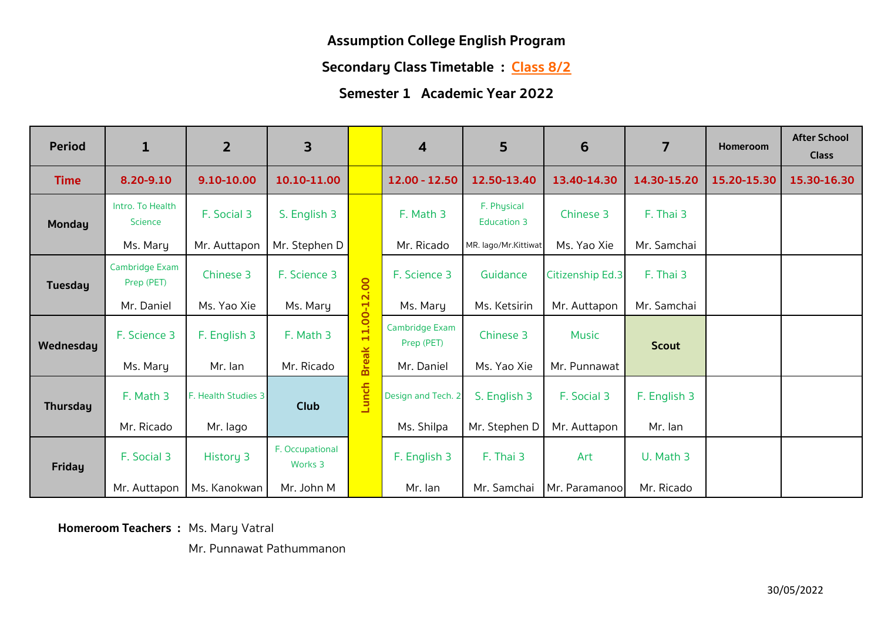**Secondary Class Timetable : Class 8/2**

## **Semester 1 Academic Year 2022**

| <b>Period</b>   | $\mathbf{1}$                 | 2 <sup>1</sup>      | 3                          |              | $\boldsymbol{4}$             | 5                          | 6                | 7            | Homeroom    | <b>After School</b><br><b>Class</b> |
|-----------------|------------------------------|---------------------|----------------------------|--------------|------------------------------|----------------------------|------------------|--------------|-------------|-------------------------------------|
| <b>Time</b>     | 8.20-9.10                    | 9.10-10.00          | 10.10-11.00                |              | $12.00 - 12.50$              | 12.50-13.40                | 13.40-14.30      | 14.30-15.20  | 15.20-15.30 | 15.30-16.30                         |
| <b>Monday</b>   | Intro. To Health<br>Science  | F. Social 3         | S. English 3               |              | F. Math 3                    | F. Physical<br>Education 3 | Chinese 3        | F. Thai 3    |             |                                     |
|                 | Ms. Mary                     | Mr. Auttapon        | Mr. Stephen D              |              | Mr. Ricado                   | MR. lago/Mr.Kittiwat       | Ms. Yao Xie      | Mr. Samchai  |             |                                     |
| <b>Tuesday</b>  | Cambridge Exam<br>Prep (PET) | Chinese 3           | F. Science 3               |              | F. Science 3                 | Guidance                   | Citizenship Ed.3 | F. Thai 3    |             |                                     |
|                 | Mr. Daniel                   | Ms. Yao Xie         | Ms. Mary                   |              | Ms. Mary                     | Ms. Ketsirin               | Mr. Auttapon     | Mr. Samchai  |             |                                     |
| Wednesday       | F. Science 3                 | F. English 3        | F. Math 3                  | 11.00-12.00  | Cambridge Exam<br>Prep (PET) | Chinese 3                  | Music            | <b>Scout</b> |             |                                     |
|                 | Ms. Mary                     | Mr. lan             | Mr. Ricado                 | <b>Break</b> | Mr. Daniel                   | Ms. Yao Xie                | Mr. Punnawat     |              |             |                                     |
| <b>Thursday</b> | F. Math 3                    | F. Health Studies 3 | Club                       | Lunch        | Design and Tech. 2           | S. English 3               | F. Social 3      | F. English 3 |             |                                     |
|                 | Mr. Ricado                   | Mr. lago            |                            |              | Ms. Shilpa                   | Mr. Stephen D              | Mr. Auttapon     | Mr. lan      |             |                                     |
| <b>Friday</b>   | F. Social 3                  | History 3           | F. Occupational<br>Works 3 |              | F. English 3                 | F. Thai 3                  | Art              | U. Math 3    |             |                                     |
|                 | Mr. Auttapon                 | Ms. Kanokwan        | Mr. John M                 |              | Mr. lan                      | Mr. Samchai                | Mr. Paramanoo    | Mr. Ricado   |             |                                     |

**Homeroom Teachers : Ms. Mary Vatral** 

Mr. Punnawat Pathummanon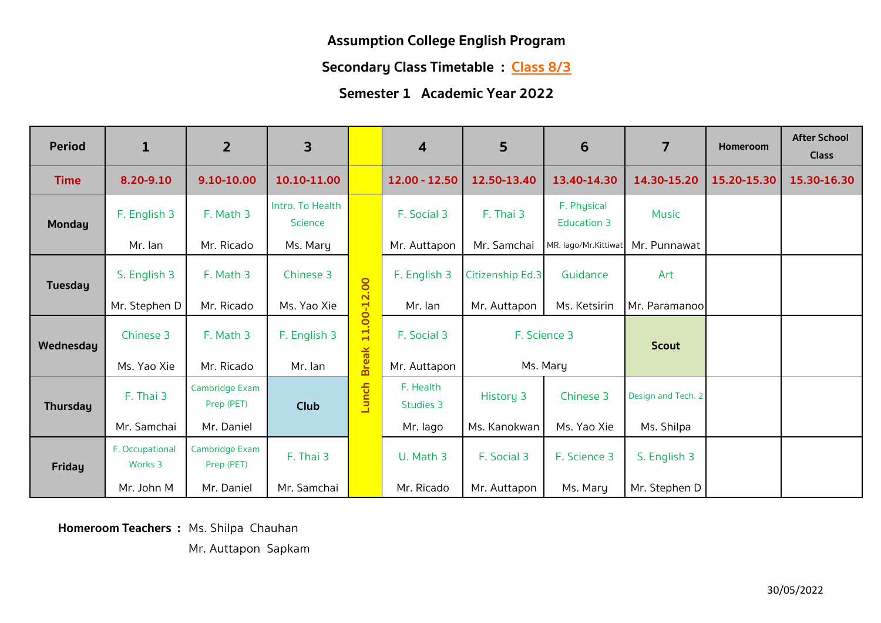**Secondary Class Timetable : Class 8/3**

## **Semester 1 Academic Year 2022**

| <b>Period</b>   | $\mathbf{1}$               | $\overline{2}$               | 3                                  |              | $\boldsymbol{4}$       | 5                | 6                                 | $\overline{7}$     | Homeroom    | <b>After School</b><br><b>Class</b> |
|-----------------|----------------------------|------------------------------|------------------------------------|--------------|------------------------|------------------|-----------------------------------|--------------------|-------------|-------------------------------------|
| <b>Time</b>     | 8.20-9.10                  | 9.10-10.00                   | 10.10-11.00                        |              | $12.00 - 12.50$        | 12.50-13.40      | 13.40-14.30                       | 14.30-15.20        | 15.20-15.30 | 15.30-16.30                         |
| <b>Monday</b>   | F. English 3               | F. Math 3                    | Intro. To Health<br><b>Science</b> |              | F. Social 3            | F. Thai 3        | F. Physical<br><b>Education 3</b> | <b>Music</b>       |             |                                     |
|                 | Mr. Ian                    | Mr. Ricado                   | Ms. Mary                           |              | Mr. Auttapon           | Mr. Samchai      | MR. lago/Mr.Kittiwat              | Mr. Punnawat       |             |                                     |
| <b>Tuesday</b>  | S. English 3               | F. Math 3                    | Chinese 3                          |              | F. English 3           | Citizenship Ed.3 | Guidance                          | Art                |             |                                     |
|                 | Mr. Stephen D              | Mr. Ricado                   | Ms. Yao Xie                        |              | Mr. Ian                | Mr. Auttapon     | Ms. Ketsirin                      | Mr. Paramanool     |             |                                     |
| Wednesday       | Chinese 3                  | F. Math 3                    | F. English 3                       | 11.00-12.00  | F. Social 3            |                  | F. Science 3                      | <b>Scout</b>       |             |                                     |
|                 | Ms. Yao Xie                | Mr. Ricado                   | Mr. Ian                            | <b>Break</b> | Mr. Auttapon           |                  | Ms. Mary                          |                    |             |                                     |
| <b>Thursday</b> | F. Thai 3                  | Cambridge Exam<br>Prep (PET) | Club                               | Lunch        | F. Health<br>Studies 3 | History 3        | Chinese 3                         | Design and Tech. 2 |             |                                     |
|                 | Mr. Samchai                | Mr. Daniel                   |                                    |              | Mr. lago               | Ms. Kanokwan     | Ms. Yao Xie                       | Ms. Shilpa         |             |                                     |
| <b>Friday</b>   | F. Occupational<br>Works 3 | Cambridge Exam<br>Prep (PET) | F. Thai 3                          |              | U. Math 3              | F. Social 3      | F. Science 3                      | S. English 3       |             |                                     |
|                 | Mr. John M                 | Mr. Daniel                   | Mr. Samchai                        |              | Mr. Ricado             | Mr. Auttapon     | Ms. Mary                          | Mr. Stephen D      |             |                                     |

**Homeroom Teachers :** Ms. Shilpa Chauhan

Mr. Auttapon Sapkam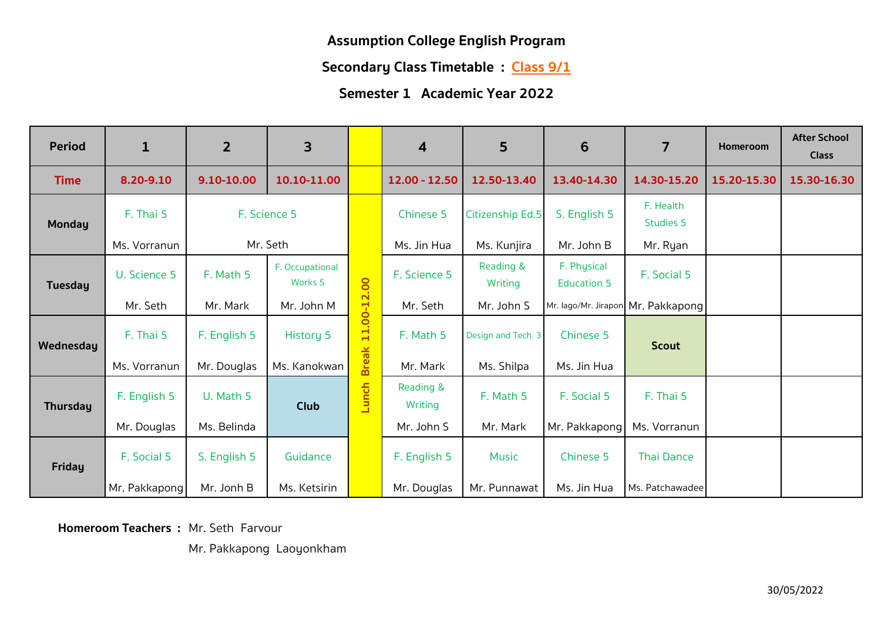**Secondary Class Timetable : Class 9/1** 

#### **Semester 1 Academic Year 2022**

| <b>Period</b>   | $\mathbf{1}$  | $\overline{2}$ | 3                                     |              | 4                    | 5                    | 6                                 | 7                                  | <b>Homeroom</b> | <b>After School</b><br><b>Class</b> |
|-----------------|---------------|----------------|---------------------------------------|--------------|----------------------|----------------------|-----------------------------------|------------------------------------|-----------------|-------------------------------------|
| <b>Time</b>     | 8.20-9.10     | 9.10-10.00     | 10.10-11.00                           |              | 12.00 - 12.50        | 12.50-13.40          | 13.40-14.30                       | 14.30-15.20                        | 15.20-15.30     | 15.30-16.30                         |
| <b>Monday</b>   | F. Thai 5     |                | F. Science 5                          |              | Chinese 5            | Citizenship Ed.5     | S. English 5                      | F. Health<br><b>Studies 5</b>      |                 |                                     |
|                 | Ms. Vorranun  |                | Mr. Seth                              |              | Ms. Jin Hua          | Ms. Kunjira          | Mr. John B                        | Mr. Ryan                           |                 |                                     |
| <b>Tuesday</b>  | U. Science 5  | F. Math 5      | F. Occupational<br>Works <sub>5</sub> |              | F. Science 5         | Reading &<br>Writing | F. Physical<br><b>Education 5</b> | F. Social 5                        |                 |                                     |
|                 | Mr. Seth      | Mr. Mark       | Mr. John M                            |              | Mr. Seth             | Mr. John S           |                                   | Mr. lago/Mr. Jirapon Mr. Pakkapong |                 |                                     |
| Wednesday       | F. Thai 5     | F. English 5   | History 5                             | 11.00-12.00  | F. Math 5            | Design and Tech. 3   | Chinese 5                         | <b>Scout</b>                       |                 |                                     |
|                 | Ms. Vorranun  | Mr. Douglas    | Ms. Kanokwan                          | <b>Break</b> | Mr. Mark             | Ms. Shilpa           | Ms. Jin Hua                       |                                    |                 |                                     |
| <b>Thursday</b> | F. English 5  | U. Math 5      | Club                                  | Lunch        | Reading &<br>Writing | F. Math 5            | F. Social 5                       | F. Thai 5                          |                 |                                     |
|                 | Mr. Douglas   | Ms. Belinda    |                                       |              | Mr. John S           | Mr. Mark             | Mr. Pakkapong                     | Ms. Vorranun                       |                 |                                     |
| <b>Friday</b>   | F. Social 5   | S. English 5   | Guidance                              |              | F. English 5         | <b>Music</b>         | Chinese 5                         | <b>Thai Dance</b>                  |                 |                                     |
|                 | Mr. Pakkapong | Mr. Jonh B     | Ms. Ketsirin                          |              | Mr. Douglas          | Mr. Punnawat         | Ms. Jin Hua                       | Ms. Patchawadee                    |                 |                                     |

**Homeroom Teachers :** Mr. Seth Farvour

Mr. Pakkapong Laoyonkham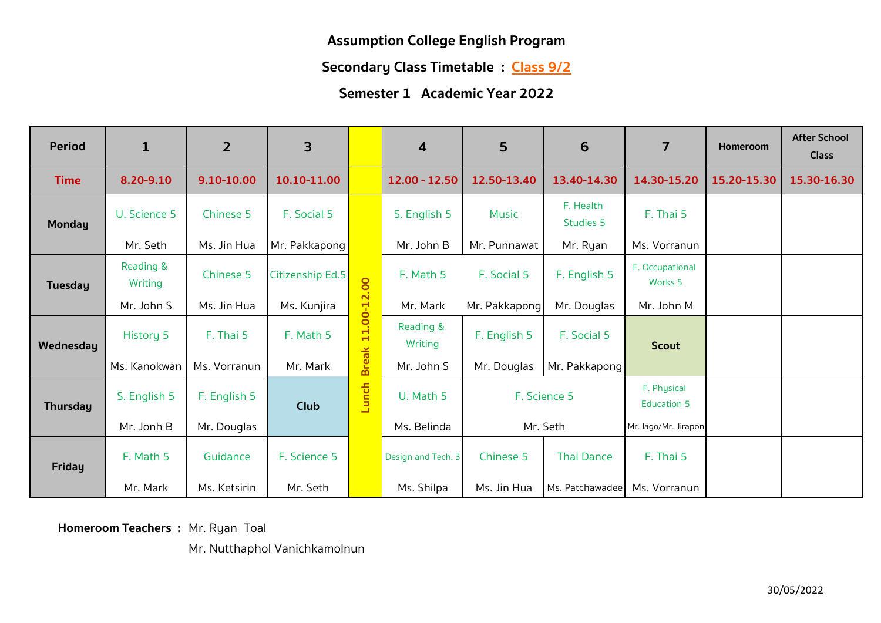**Secondary Class Timetable : Class 9/2**

## **Semester 1 Academic Year 2022**

| <b>Period</b>   | $\mathbf{1}$         | $\overline{2}$ | 3                |              | 4                    | 5             | 6                             | $\overline{7}$                        | Homeroom    | <b>After School</b><br><b>Class</b> |
|-----------------|----------------------|----------------|------------------|--------------|----------------------|---------------|-------------------------------|---------------------------------------|-------------|-------------------------------------|
| <b>Time</b>     | 8.20-9.10            | 9.10-10.00     | 10.10-11.00      |              | $12.00 - 12.50$      | 12.50-13.40   | 13.40-14.30                   | 14.30-15.20                           | 15.20-15.30 | 15.30-16.30                         |
| <b>Monday</b>   | U. Science 5         | Chinese 5      | F. Social 5      |              | S. English 5         | <b>Music</b>  | F. Health<br><b>Studies 5</b> | F. Thai 5                             |             |                                     |
|                 | Mr. Seth             | Ms. Jin Hua    | Mr. Pakkapong    |              | Mr. John B           | Mr. Punnawat  | Mr. Ryan                      | Ms. Vorranun                          |             |                                     |
| <b>Tuesday</b>  | Reading &<br>Writing | Chinese 5      | Citizenship Ed.5 |              | F. Math 5            | F. Social 5   | F. English 5                  | F. Occupational<br>Works <sub>5</sub> |             |                                     |
|                 | Mr. John S           | Ms. Jin Hua    | Ms. Kunjira      |              | Mr. Mark             | Mr. Pakkapong | Mr. Douglas                   | Mr. John M                            |             |                                     |
| Wednesday       | History 5            | F. Thai 5      | F. Math 5        | 11.00-12.00  | Reading &<br>Writing | F. English 5  | F. Social 5                   | <b>Scout</b>                          |             |                                     |
|                 | Ms. Kanokwan         | Ms. Vorranun   | Mr. Mark         | <b>Break</b> | Mr. John S           | Mr. Douglas   | Mr. Pakkapong                 |                                       |             |                                     |
| <b>Thursday</b> | S. English 5         | F. English 5   | Club             | Lunch        | U. Math 5            |               | F. Science 5                  | F. Physical<br><b>Education 5</b>     |             |                                     |
|                 | Mr. Jonh B           | Mr. Douglas    |                  |              | Ms. Belinda          |               | Mr. Seth                      | Mr. lago/Mr. Jirapon                  |             |                                     |
| <b>Friday</b>   | F. Math 5            | Guidance       | F. Science 5     |              | Design and Tech. 3   | Chinese 5     | <b>Thai Dance</b>             | F. Thai 5                             |             |                                     |
|                 | Mr. Mark             | Ms. Ketsirin   | Mr. Seth         |              | Ms. Shilpa           | Ms. Jin Hua   | Ms. Patchawadee               | Ms. Vorranun                          |             |                                     |

**Homeroom Teachers :** Mr. Ryan Toal

Mr. Nutthaphol Vanichkamolnun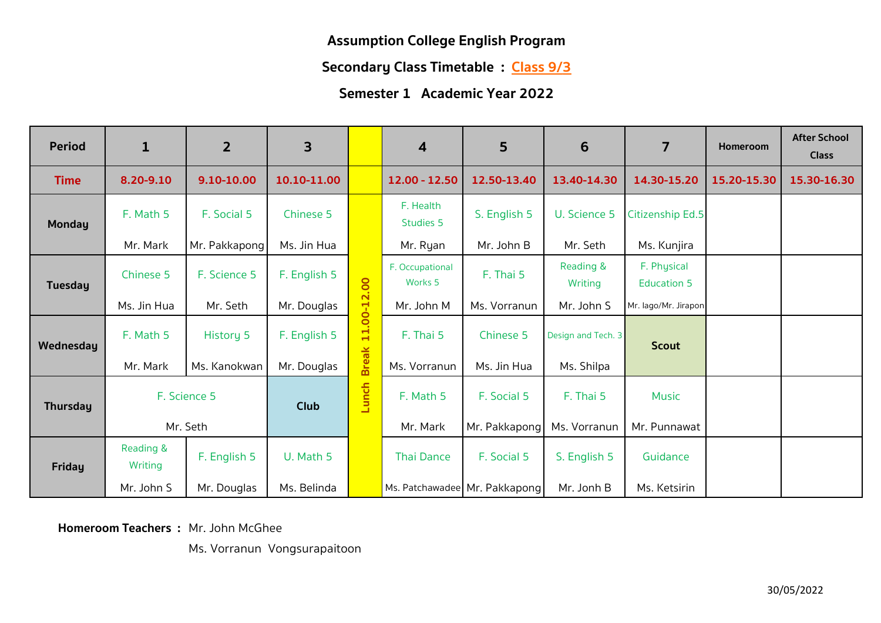**Secondary Class Timetable : Class 9/3**

#### **Semester 1 Academic Year 2022**

| <b>Period</b>   | $\mathbf{1}$         | $\overline{2}$   | 3            |              | $\overline{\mathbf{4}}$               | 5                             | 6                    | 7                                 | <b>Homeroom</b> | <b>After School</b><br><b>Class</b> |
|-----------------|----------------------|------------------|--------------|--------------|---------------------------------------|-------------------------------|----------------------|-----------------------------------|-----------------|-------------------------------------|
| <b>Time</b>     | 8.20-9.10            | 9.10-10.00       | 10.10-11.00  |              | 12.00 - 12.50                         | 12.50-13.40                   | 13.40-14.30          | 14.30-15.20                       | 15.20-15.30     | 15.30-16.30                         |
| <b>Monday</b>   | F. Math 5            | F. Social 5      | Chinese 5    |              | F. Health<br>Studies 5                | S. English 5                  | U. Science 5         | Citizenship Ed.5                  |                 |                                     |
|                 | Mr. Mark             | Mr. Pakkapong    | Ms. Jin Hua  |              | Mr. Ryan                              | Mr. John B                    | Mr. Seth             | Ms. Kunjira                       |                 |                                     |
| <b>Tuesday</b>  | Chinese 5            | F. Science 5     | F. English 5 |              | F. Occupational<br>Works <sub>5</sub> | F. Thai 5                     | Reading &<br>Writing | F. Physical<br><b>Education 5</b> |                 |                                     |
|                 | Ms. Jin Hua          | Mr. Seth         | Mr. Douglas  |              | Mr. John M                            | Ms. Vorranun                  | Mr. John S           | Mr. lago/Mr. Jirapon              |                 |                                     |
| Wednesday       | F. Math 5            | <b>History 5</b> | F. English 5 | 11.00-12.00  | F. Thai 5                             | Chinese 5                     | Design and Tech. 3   | <b>Scout</b>                      |                 |                                     |
|                 | Mr. Mark             | Ms. Kanokwan     | Mr. Douglas  | <b>Break</b> | Ms. Vorranun                          | Ms. Jin Hua                   | Ms. Shilpa           |                                   |                 |                                     |
| <b>Thursday</b> |                      | F. Science 5     | <b>Club</b>  | Lunch        | F. Math 5                             | F. Social 5                   | F. Thai 5            | <b>Music</b>                      |                 |                                     |
|                 |                      | Mr. Seth         |              |              | Mr. Mark                              | Mr. Pakkapong                 | Ms. Vorranun         | Mr. Punnawat                      |                 |                                     |
| <b>Friday</b>   | Reading &<br>Writing | F. English 5     | U. Math 5    |              | <b>Thai Dance</b>                     | F. Social 5                   | S. English 5         | Guidance                          |                 |                                     |
|                 | Mr. John S           | Mr. Douglas      | Ms. Belinda  |              |                                       | Ms. Patchawadee Mr. Pakkapong | Mr. Jonh B           | Ms. Ketsirin                      |                 |                                     |

**Homeroom Teachers : Mr. John McGhee** 

Ms. Vorranun Vongsurapaitoon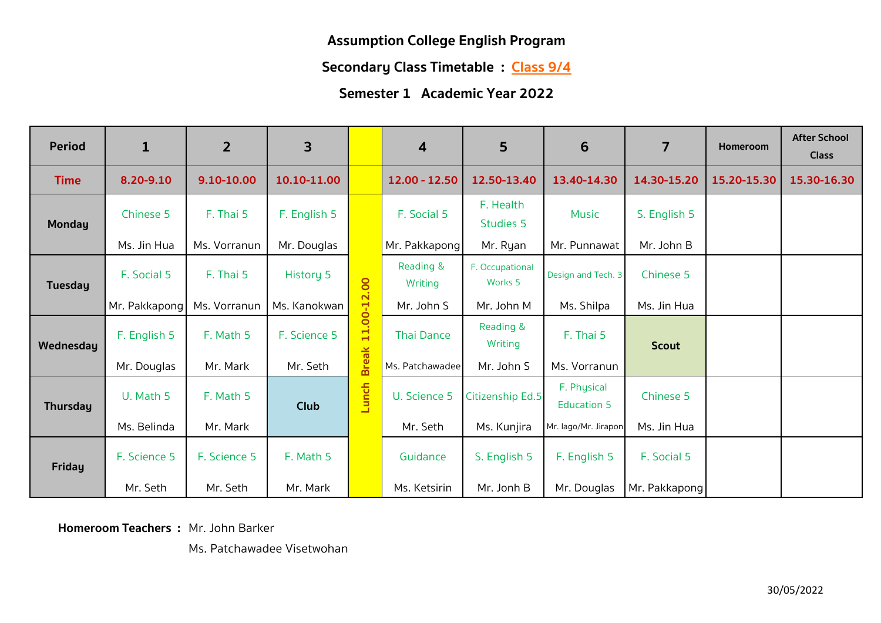**Secondary Class Timetable : Class 9/4**

## **Semester 1 Academic Year 2022**

| <b>Period</b>   | $\mathbf{1}$  | $\overline{2}$ | 3                |              | 4                    | 5                                     | 6                                 | $\overline{7}$ | <b>Homeroom</b> | <b>After School</b><br><b>Class</b> |
|-----------------|---------------|----------------|------------------|--------------|----------------------|---------------------------------------|-----------------------------------|----------------|-----------------|-------------------------------------|
| <b>Time</b>     | 8.20-9.10     | 9.10-10.00     | 10.10-11.00      |              | 12.00 - 12.50        | 12.50-13.40                           | 13.40-14.30                       | 14.30-15.20    | 15.20-15.30     | 15.30-16.30                         |
| <b>Monday</b>   | Chinese 5     | F. Thai 5      | F. English 5     |              | F. Social 5          | F. Health<br><b>Studies 5</b>         | <b>Music</b>                      | S. English 5   |                 |                                     |
|                 | Ms. Jin Hua   | Ms. Vorranun   | Mr. Douglas      |              | Mr. Pakkapong        | Mr. Ryan                              | Mr. Punnawat                      | Mr. John B     |                 |                                     |
| <b>Tuesday</b>  | F. Social 5   | F. Thai 5      | <b>History 5</b> |              | Reading &<br>Writing | F. Occupational<br>Works <sub>5</sub> | Design and Tech. 3                | Chinese 5      |                 |                                     |
|                 | Mr. Pakkapong | Ms. Vorranun   | Ms. Kanokwan     |              | Mr. John S           | Mr. John M                            | Ms. Shilpa                        | Ms. Jin Hua    |                 |                                     |
| Wednesday       | F. English 5  | F. Math 5      | F. Science 5     | 11.00-12.00  | <b>Thai Dance</b>    | Reading &<br>Writing                  | F. Thai 5                         | <b>Scout</b>   |                 |                                     |
|                 | Mr. Douglas   | Mr. Mark       | Mr. Seth         | <b>Break</b> | Ms. Patchawadee      | Mr. John S                            | Ms. Vorranun                      |                |                 |                                     |
| <b>Thursday</b> | U. Math 5     | F. Math 5      | Club             | Lunch        | U. Science 5         | Citizenship Ed.5                      | F. Physical<br><b>Education 5</b> | Chinese 5      |                 |                                     |
|                 | Ms. Belinda   | Mr. Mark       |                  |              | Mr. Seth             | Ms. Kunjira                           | Mr. lago/Mr. Jirapon              | Ms. Jin Hua    |                 |                                     |
| <b>Friday</b>   | F. Science 5  | F. Science 5   | F. Math 5        |              | Guidance             | S. English 5                          | F. English 5                      | F. Social 5    |                 |                                     |
|                 | Mr. Seth      | Mr. Seth       | Mr. Mark         |              | Ms. Ketsirin         | Mr. Jonh B                            | Mr. Douglas                       | Mr. Pakkapong  |                 |                                     |

**Homeroom Teachers :** Mr. John Barker

Ms. Patchawadee Visetwohan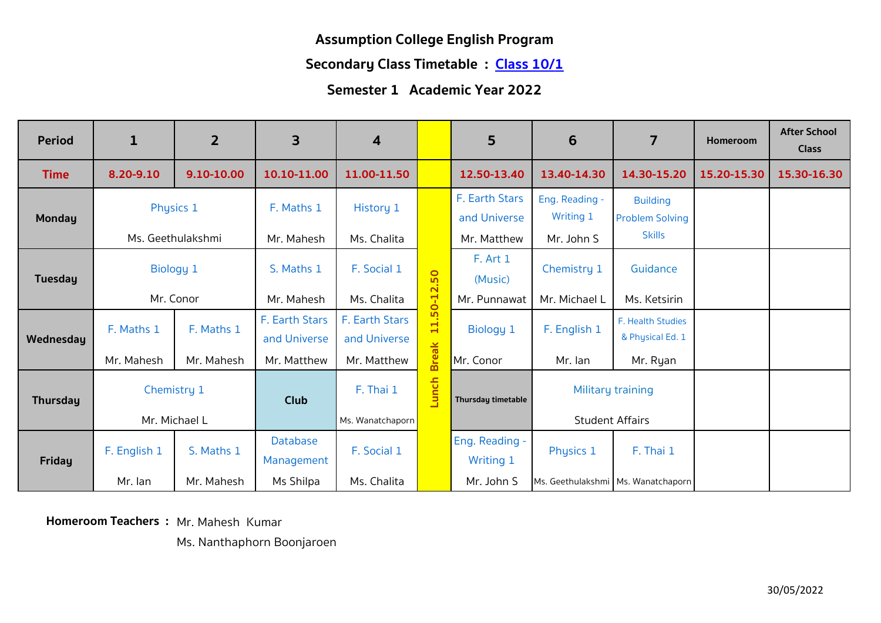#### **Secondary Class Timetable : Class 10/1**

## **Semester 1 Academic Year 2022**

| <b>Period</b>  | $\mathbf{1}$ | $\overline{2}$    | 3                              | $\overline{\mathbf{4}}$        |                                       | 5                                  | 6                                  | $\overline{7}$                            | Homeroom    | <b>After School</b><br><b>Class</b> |
|----------------|--------------|-------------------|--------------------------------|--------------------------------|---------------------------------------|------------------------------------|------------------------------------|-------------------------------------------|-------------|-------------------------------------|
| <b>Time</b>    | 8.20-9.10    | 9.10-10.00        | 10.10-11.00                    | 11.00-11.50                    |                                       | 12.50-13.40                        | 13.40-14.30                        | 14.30-15.20                               | 15.20-15.30 | 15.30-16.30                         |
| Monday         | Physics 1    |                   | F. Maths 1                     | History 1                      |                                       | F. Earth Stars<br>and Universe     | Eng. Reading -<br><b>Writing 1</b> | <b>Building</b><br><b>Problem Solving</b> |             |                                     |
|                |              | Ms. Geethulakshmi | Mr. Mahesh                     | Ms. Chalita                    |                                       | Mr. Matthew                        | Mr. John S                         | <b>Skills</b>                             |             |                                     |
| <b>Tuesday</b> | Biology 1    |                   | S. Maths 1                     | F. Social 1                    | $\circ$<br><u>ທ</u>                   | F. Art 1<br>(Music)                | Chemistry 1                        | Guidance                                  |             |                                     |
|                |              | Mr. Conor         | Mr. Mahesh                     | Ms. Chalita                    | $\mathbf{\Omega}$<br>$0 - 1$          | Mr. Punnawat                       | Mr. Michael L                      | Ms. Ketsirin                              |             |                                     |
| Wednesday      | F. Maths 1   | F. Maths 1        | F. Earth Stars<br>and Universe | F. Earth Stars<br>and Universe | S<br>$\blacksquare$<br>$\blacksquare$ | Biology 1                          | F. English 1                       | F. Health Studies<br>& Physical Ed. 1     |             |                                     |
|                | Mr. Mahesh   | Mr. Mahesh        | Mr. Matthew                    | Mr. Matthew                    | <b>Break</b>                          | Mr. Conor                          | Mr. Ian                            | Mr. Ryan                                  |             |                                     |
| Thursday       | Chemistry 1  |                   | <b>Club</b>                    | F. Thai 1                      | Lunch                                 | Thursday timetable                 |                                    | Military training                         |             |                                     |
|                |              | Mr. Michael L     |                                | Ms. Wanatchaporn               |                                       |                                    |                                    | <b>Student Affairs</b>                    |             |                                     |
| <b>Friday</b>  | F. English 1 | S. Maths 1        | <b>Database</b><br>Management  | F. Social 1                    |                                       | Eng. Reading -<br><b>Writing 1</b> | Physics 1                          | F. Thai 1                                 |             |                                     |
|                | Mr. lan      | Mr. Mahesh        | Ms Shilpa                      | Ms. Chalita                    |                                       | Mr. John S                         |                                    | Ms. Geethulakshmi   Ms. Wanatchaporn      |             |                                     |

**Homeroom Teachers :** Mr. Mahesh Kumar

Ms. Nanthaphorn Boonjaroen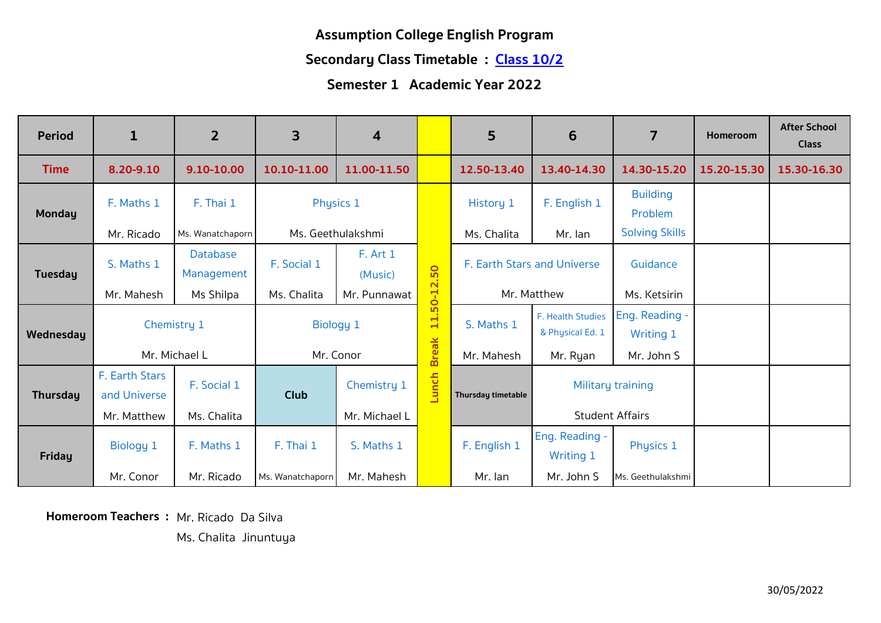#### **Secondary Class Timetable : Class 10/2**

### **Semester 1 Academic Year 2022**

| <b>Period</b>   | $\mathbf{1}$   | $\overline{2}$                | 3                 | 4                   |                               | $5\phantom{.}$              | 6                                  | $\overline{7}$             | <b>Homeroom</b> | <b>After School</b><br><b>Class</b> |
|-----------------|----------------|-------------------------------|-------------------|---------------------|-------------------------------|-----------------------------|------------------------------------|----------------------------|-----------------|-------------------------------------|
| <b>Time</b>     | 8.20-9.10      | 9.10-10.00                    | 10.10-11.00       | 11.00-11.50         |                               | 12.50-13.40                 | 13.40-14.30                        | 14.30-15.20                | 15.20-15.30     | 15.30-16.30                         |
| Monday          | F. Maths 1     | F. Thai 1                     | Physics 1         |                     |                               | History 1                   | F. English 1                       | <b>Building</b><br>Problem |                 |                                     |
|                 | Mr. Ricado     | Ms. Wanatchaporn              | Ms. Geethulakshmi |                     |                               | Ms. Chalita                 | Mr. Ian                            | <b>Solving Skills</b>      |                 |                                     |
| <b>Tuesday</b>  | S. Maths 1     | <b>Database</b><br>Management | F. Social 1       | F. Art 1<br>(Music) | 2.50                          | F. Earth Stars and Universe |                                    | Guidance                   |                 |                                     |
|                 | Mr. Mahesh     | Ms Shilpa                     | Ms. Chalita       | Mr. Punnawat        | $0 - 1$                       |                             | Mr. Matthew                        | Ms. Ketsirin               |                 |                                     |
|                 |                | Chemistry 1                   | Biology 1         |                     | S<br>$\div$<br>$\blacksquare$ | S. Maths 1                  | F. Health Studies                  | Eng. Reading -             |                 |                                     |
| Wednesday       |                |                               |                   |                     |                               |                             | & Physical Ed. 1                   | <b>Writing 1</b>           |                 |                                     |
|                 |                | Mr. Michael L                 |                   | Mr. Conor           | <b>Break</b>                  | Mr. Mahesh                  | Mr. Ryan                           | Mr. John S                 |                 |                                     |
|                 | F. Earth Stars | F. Social 1                   |                   | Chemistry 1         |                               |                             |                                    | Military training          |                 |                                     |
| <b>Thursday</b> | and Universe   |                               | <b>Club</b>       |                     | Lunch                         | Thursday timetable          |                                    |                            |                 |                                     |
|                 | Mr. Matthew    | Ms. Chalita                   |                   | Mr. Michael L       |                               |                             | <b>Student Affairs</b>             |                            |                 |                                     |
| <b>Friday</b>   | Biology 1      | F. Maths 1                    | F. Thai 1         | S. Maths 1          |                               | F. English 1                | Eng. Reading -<br><b>Writing 1</b> | Physics 1                  |                 |                                     |
|                 | Mr. Conor      | Mr. Ricado                    | Ms. Wanatchaporn  | Mr. Mahesh          |                               | Mr. lan                     | Mr. John S                         | Ms. Geethulakshmi          |                 |                                     |

**Homeroom Teachers :** Mr. Ricado Da Silva

Ms. Chalita Jinuntuya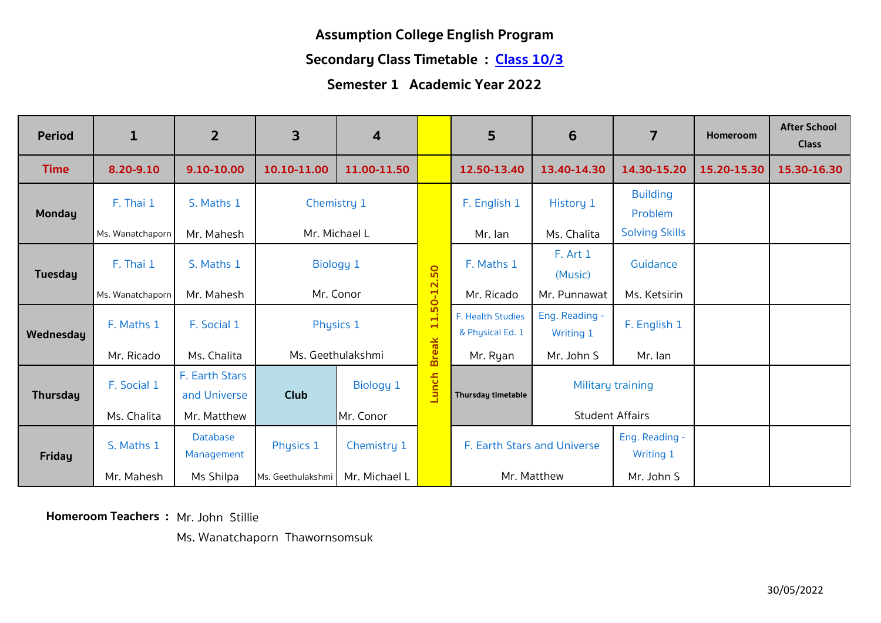#### **Secondary Class Timetable : Class 10/3**

## **Semester 1 Academic Year 2022**

| <b>Period</b>   | $\mathbf{1}$            | $\overline{2}$                 | $\overline{\mathbf{3}}$ | 4                 |                                      | 5                                     | 6                                  | 7                                  | <b>Homeroom</b> | <b>After School</b><br><b>Class</b> |
|-----------------|-------------------------|--------------------------------|-------------------------|-------------------|--------------------------------------|---------------------------------------|------------------------------------|------------------------------------|-----------------|-------------------------------------|
| <b>Time</b>     | 8.20-9.10               | 9.10-10.00                     | 10.10-11.00             | 11.00-11.50       |                                      | 12.50-13.40                           | 13.40-14.30                        | 14.30-15.20                        | 15.20-15.30     | 15.30-16.30                         |
| <b>Monday</b>   | F. Thai 1               | S. Maths 1                     | Chemistry 1             |                   |                                      | F. English 1                          | History 1                          | <b>Building</b><br>Problem         |                 |                                     |
|                 | Ms. Wanatchaporn        | Mr. Mahesh                     | Mr. Michael L           |                   |                                      | Mr. lan                               | Ms. Chalita                        | <b>Solving Skills</b>              |                 |                                     |
| Tuesday         | F. Thai 1<br>S. Maths 1 |                                | <b>Biology 1</b>        |                   | 50<br>$\overline{\mathbf{N}}$        | F. Maths 1                            | <b>F.</b> Art 1<br>(Music)         | Guidance                           |                 |                                     |
|                 | Ms. Wanatchaporn        | Mr. Mahesh                     | Mr. Conor               |                   | $0 - 1$                              | Mr. Ricado                            | Mr. Punnawat                       | Ms. Ketsirin                       |                 |                                     |
| Wednesday       | F. Maths 1              | F. Social 1                    | Physics 1               |                   | <u>ທ</u><br>$\div$<br>$\blacksquare$ | F. Health Studies<br>& Physical Ed. 1 | Eng. Reading -<br><b>Writing 1</b> | F. English 1                       |                 |                                     |
|                 | Mr. Ricado              | Ms. Chalita                    |                         | Ms. Geethulakshmi | <b>Break</b>                         | Mr. Ryan                              | Mr. John S                         | Mr. lan                            |                 |                                     |
| <b>Thursday</b> | F. Social 1             | F. Earth Stars<br>and Universe | <b>Club</b>             | Biology 1         | Lunch                                | Thursday timetable                    | Military training                  |                                    |                 |                                     |
|                 | Ms. Chalita             | Mr. Matthew                    |                         | Mr. Conor         |                                      |                                       | <b>Student Affairs</b>             |                                    |                 |                                     |
| <b>Friday</b>   | S. Maths 1              | <b>Database</b><br>Management  | Physics 1               | Chemistry 1       |                                      | F. Earth Stars and Universe           |                                    | Eng. Reading -<br><b>Writing 1</b> |                 |                                     |
|                 | Mr. Mahesh              | Ms Shilpa                      | Ms. Geethulakshmi       | Mr. Michael L     |                                      |                                       | Mr. Matthew                        | Mr. John S                         |                 |                                     |

**Homeroom Teachers :** Mr. John Stillie

Ms. Wanatchaporn Thawornsomsuk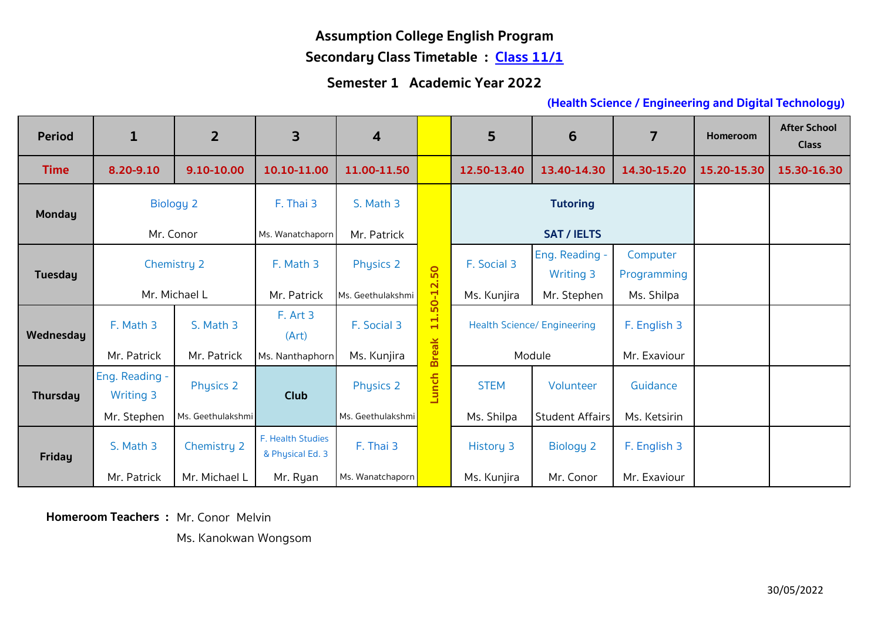# **Secondary Class Timetable : Class 11/1**

## **Semester 1 Academic Year 2022**

#### **(Health Science / Engineering and Digital Technology)**

| <b>Period</b>  | $\mathbf{1}$     | $\overline{2}$    | 3                                     | $\boldsymbol{4}$  |                   | 5               | 6                                  | $\overline{7}$ | <b>Homeroom</b> | <b>After School</b><br><b>Class</b> |
|----------------|------------------|-------------------|---------------------------------------|-------------------|-------------------|-----------------|------------------------------------|----------------|-----------------|-------------------------------------|
| <b>Time</b>    | 8.20-9.10        | 9.10-10.00        | 10.10-11.00                           | 11.00-11.50       |                   | 12.50-13.40     | 13.40-14.30                        | 14.30-15.20    | 15.20-15.30     | 15.30-16.30                         |
| <b>Monday</b>  | <b>Biology 2</b> |                   | F. Thai 3                             | S. Math 3         |                   | <b>Tutoring</b> |                                    |                |                 |                                     |
|                | Mr. Conor        |                   | Ms. Wanatchaporn                      | Mr. Patrick       |                   |                 | <b>SAT / IELTS</b>                 |                |                 |                                     |
| <b>Tuesday</b> |                  |                   | F. Math 3                             |                   |                   | F. Social 3     | Eng. Reading -                     | Computer       |                 |                                     |
|                | Chemistry 2      |                   |                                       | <b>Physics 2</b>  | 2.50              |                 | <b>Writing 3</b>                   | Programming    |                 |                                     |
|                | Mr. Michael L    |                   | Mr. Patrick                           | Ms. Geethulakshmi | $0 - 1$           | Ms. Kunjira     | Mr. Stephen                        | Ms. Shilpa     |                 |                                     |
|                | F. Math 3        | S. Math 3         | F. Art 3                              | F. Social 3       | 5<br>$\mathbf{1}$ |                 | <b>Health Science/ Engineering</b> |                |                 |                                     |
| Wednesday      |                  | (Art)             |                                       |                   |                   |                 | F. English 3                       |                |                 |                                     |
|                | Mr. Patrick      | Mr. Patrick       | Ms. Nanthaphorn                       | Ms. Kunjira       | <b>Break</b>      | Module          |                                    | Mr. Exaviour   |                 |                                     |
|                | Eng. Reading -   | <b>Physics 2</b>  |                                       | <b>Physics 2</b>  |                   | <b>STEM</b>     | Volunteer                          | Guidance       |                 |                                     |
| Thursday       | <b>Writing 3</b> |                   | <b>Club</b>                           |                   | Lunch             |                 |                                    |                |                 |                                     |
|                | Mr. Stephen      | Ms. Geethulakshmi |                                       | Ms. Geethulakshmi |                   | Ms. Shilpa      | <b>Student Affairs</b>             | Ms. Ketsirin   |                 |                                     |
| Friday         | S. Math 3        | Chemistry 2       | F. Health Studies<br>& Physical Ed. 3 | F. Thai 3         |                   | History 3       | <b>Biology 2</b>                   | F. English 3   |                 |                                     |
|                | Mr. Patrick      | Mr. Michael L     | Mr. Ryan                              | Ms. Wanatchaporn  |                   | Ms. Kunjira     | Mr. Conor                          | Mr. Exaviour   |                 |                                     |

**Homeroom Teachers :** Mr. Conor Melvin

Ms. Kanokwan Wongsom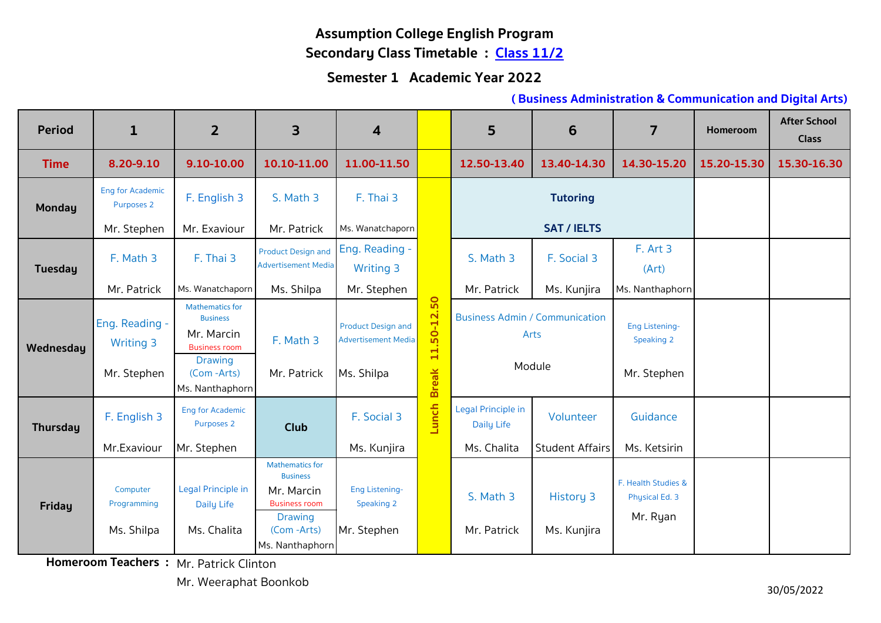# **Assumption College English Program Secondary Class Timetable : Class 11/2**

#### **Semester 1 Academic Year 2022**

#### **( Business Administration & Communication and Digital Arts)**

| <b>Period</b>   | $\mathbf{1}$                                      | $\overline{2}$                                                                                                  | $\overline{\mathbf{3}}$                                                                                                            | 4                                                                     |                                                               | 5                                                       | 6                                   | $\overline{7}$                                     | Homeroom    | <b>After School</b><br><b>Class</b> |
|-----------------|---------------------------------------------------|-----------------------------------------------------------------------------------------------------------------|------------------------------------------------------------------------------------------------------------------------------------|-----------------------------------------------------------------------|---------------------------------------------------------------|---------------------------------------------------------|-------------------------------------|----------------------------------------------------|-------------|-------------------------------------|
| <b>Time</b>     | 8.20-9.10                                         | 9.10-10.00                                                                                                      | 10.10-11.00                                                                                                                        | 11.00-11.50                                                           |                                                               | 12.50-13.40                                             | 13.40-14.30                         | 14.30-15.20                                        | 15.20-15.30 | 15.30-16.30                         |
| <b>Monday</b>   | <b>Eng for Academic</b><br>Purposes 2             | F. English 3                                                                                                    | S. Math 3                                                                                                                          | F. Thai 3                                                             |                                                               |                                                         | <b>Tutoring</b>                     |                                                    |             |                                     |
|                 | Mr. Stephen                                       | Mr. Exaviour                                                                                                    | Mr. Patrick                                                                                                                        | Ms. Wanatchaporn                                                      |                                                               |                                                         | <b>SAT / IELTS</b>                  |                                                    |             |                                     |
| <b>Tuesday</b>  | F. Math 3                                         | F. Thai 3                                                                                                       | <b>Product Design and</b><br><b>Advertisement Media</b>                                                                            | Eng. Reading -<br><b>Writing 3</b>                                    |                                                               | S. Math 3                                               | F. Social 3                         | F. Art 3<br>(Art)                                  |             |                                     |
|                 | Mr. Patrick                                       | Ms. Wanatchaporn                                                                                                | Ms. Shilpa                                                                                                                         | Mr. Stephen                                                           |                                                               | Mr. Patrick                                             | Ms. Kunjira                         | Ms. Nanthaphorn                                    |             |                                     |
| Wednesday       | Eng. Reading -<br><b>Writing 3</b><br>Mr. Stephen | <b>Mathematics for</b><br><b>Business</b><br>Mr. Marcin<br><b>Business room</b><br><b>Drawing</b><br>(Com-Arts) | F. Math 3<br>Mr. Patrick                                                                                                           | <b>Product Design and</b><br><b>Advertisement Media</b><br>Ms. Shilpa | $0 - 12.50$<br>$\overline{5}$<br>$\mathbf{H}$<br><b>Break</b> | <b>Business Admin / Communication</b><br>Arts<br>Module |                                     | <b>Eng Listening-</b><br>Speaking 2<br>Mr. Stephen |             |                                     |
| <b>Thursday</b> | F. English 3<br>Mr.Exaviour                       | Ms. Nanthaphorn<br><b>Eng for Academic</b><br>Purposes 2<br>Mr. Stephen                                         | <b>Club</b>                                                                                                                        | F. Social 3<br>Ms. Kunjira                                            | Lunch                                                         | Legal Principle in<br>Daily Life<br>Ms. Chalita         | Volunteer<br><b>Student Affairs</b> | Guidance<br>Ms. Ketsirin                           |             |                                     |
| <b>Friday</b>   | Computer<br>Programming<br>Ms. Shilpa             | Legal Principle in<br><b>Daily Life</b><br>Ms. Chalita                                                          | <b>Mathematics for</b><br><b>Business</b><br>Mr. Marcin<br><b>Business room</b><br><b>Drawing</b><br>(Com-Arts)<br>Ms. Nanthaphorn | <b>Eng Listening-</b><br>Speaking 2<br>Mr. Stephen                    |                                                               | S. Math 3<br>Mr. Patrick                                | <b>History 3</b><br>Ms. Kunjira     | F. Health Studies &<br>Physical Ed. 3<br>Mr. Ryan  |             |                                     |

**Homeroom Teachers : Mr. Patrick Clinton** 

Mr. Weeraphat Boonkob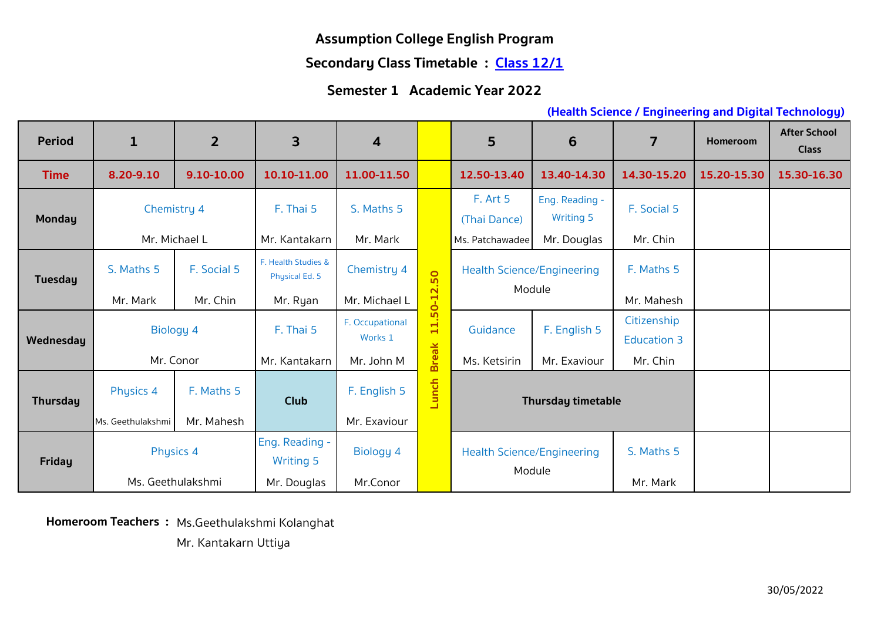#### **Secondary Class Timetable : Class 12/1**

#### **Semester 1 Academic Year 2022**

#### **(Health Science / Engineering and Digital Technology)**

| <b>Period</b>   | $\mathbf{1}$      | $\overline{2}$ | 3                                     | $\overline{\mathbf{4}}$ |                                           | 5                                 | 6                                  | $\overline{7}$     | Homeroom    | <b>After School</b><br><b>Class</b> |
|-----------------|-------------------|----------------|---------------------------------------|-------------------------|-------------------------------------------|-----------------------------------|------------------------------------|--------------------|-------------|-------------------------------------|
| <b>Time</b>     | 8.20-9.10         | 9.10-10.00     | 10.10-11.00                           | 11.00-11.50             |                                           | 12.50-13.40                       | 13.40-14.30                        | 14.30-15.20        | 15.20-15.30 | 15.30-16.30                         |
| <b>Monday</b>   | Chemistry 4       |                | F. Thai 5                             | S. Maths 5              |                                           | F. Art 5<br>(Thai Dance)          | Eng. Reading -<br><b>Writing 5</b> | F. Social 5        |             |                                     |
|                 | Mr. Michael L     |                | Mr. Kantakarn                         | Mr. Mark                |                                           | Ms. Patchawadee                   | Mr. Douglas                        | Mr. Chin           |             |                                     |
| <b>Tuesday</b>  | S. Maths 5        | F. Social 5    | F. Health Studies &<br>Physical Ed. 5 | Chemistry 4             | 50<br>$\overline{\mathbf{N}}$<br>$50 - 1$ |                                   | <b>Health Science/Engineering</b>  |                    |             |                                     |
|                 | Mr. Mark          | Mr. Chin       | Mr. Ryan                              | Mr. Michael L           |                                           |                                   | Module                             | Mr. Mahesh         |             |                                     |
|                 | <b>Biology 4</b>  |                | F. Thai 5                             | F. Occupational         | H<br>$\blacksquare$                       | Guidance                          | F. English 5                       | Citizenship        |             |                                     |
| Wednesday       |                   |                |                                       | Works 1                 |                                           |                                   |                                    | <b>Education 3</b> |             |                                     |
|                 | Mr. Conor         |                | Mr. Kantakarn                         | Mr. John M              | <b>Break</b>                              | Ms. Ketsirin<br>Mr. Exaviour      |                                    | Mr. Chin           |             |                                     |
| <b>Thursday</b> | <b>Physics 4</b>  | F. Maths 5     | <b>Club</b>                           | F. English 5            | unch<br>⊐                                 | <b>Thursday timetable</b>         |                                    |                    |             |                                     |
|                 | Ms. Geethulakshmi | Mr. Mahesh     |                                       | Mr. Exaviour            |                                           |                                   |                                    |                    |             |                                     |
| <b>Friday</b>   | Physics 4         |                | Eng. Reading -<br><b>Writing 5</b>    | Biology 4               |                                           | <b>Health Science/Engineering</b> |                                    | S. Maths 5         |             |                                     |
|                 | Ms. Geethulakshmi |                | Mr. Douglas                           | Mr.Conor                |                                           | Module                            |                                    | Mr. Mark           |             |                                     |

**Homeroom Teachers :** Ms.Geethulakshmi Kolanghat

Mr. Kantakarn Uttiya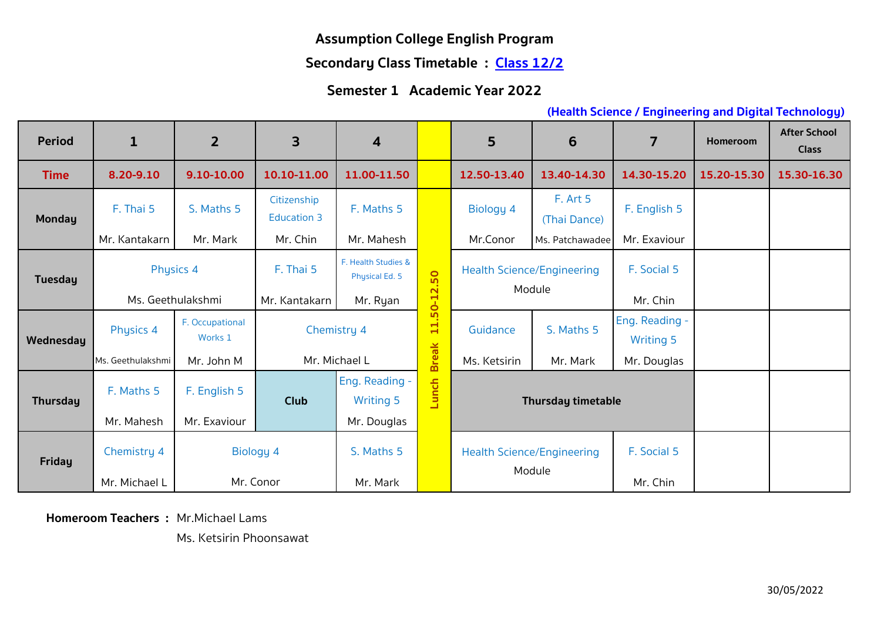#### **Secondary Class Timetable : Class 12/2**

#### **Semester 1 Academic Year 2022**

#### **(Health Science / Engineering and Digital Technology)**

| <b>Period</b>   | $\mathbf{1}$      | $\overline{2}$  | 3                                 | $\overline{\mathbf{4}}$                                     |                           | 5                                           | 6                        | $\overline{7}$   | <b>Homeroom</b> | <b>After School</b><br><b>Class</b> |
|-----------------|-------------------|-----------------|-----------------------------------|-------------------------------------------------------------|---------------------------|---------------------------------------------|--------------------------|------------------|-----------------|-------------------------------------|
| <b>Time</b>     | 8.20-9.10         | 9.10-10.00      | 10.10-11.00                       | 11.00-11.50                                                 |                           | 12.50-13.40                                 | 13.40-14.30              | 14.30-15.20      | 15.20-15.30     | 15.30-16.30                         |
| <b>Monday</b>   | F. Thai 5         | S. Maths 5      | Citizenship<br><b>Education 3</b> | F. Maths 5                                                  |                           | Biology 4                                   | F. Art 5<br>(Thai Dance) | F. English 5     |                 |                                     |
|                 | Mr. Kantakarn     | Mr. Mark        | Mr. Chin                          | Mr. Mahesh                                                  |                           | Mr.Conor                                    | Ms. Patchawadee          | Mr. Exaviour     |                 |                                     |
| Tuesday         | Physics 4         |                 | F. Thai 5                         | F. Health Studies &<br>Physical Ed. 5                       | 50                        | <b>Health Science/Engineering</b><br>Module |                          | F. Social 5      |                 |                                     |
|                 | Ms. Geethulakshmi |                 | Mr. Kantakarn                     | Mr. Ryan                                                    | $\overline{N}$<br>$0 - 1$ |                                             |                          | Mr. Chin         |                 |                                     |
|                 | Physics 4         | F. Occupational |                                   | <u>ທ</u><br>$\blacksquare$<br>Chemistry 4<br>$\blacksquare$ |                           | Guidance                                    | S. Maths 5               | Eng. Reading -   |                 |                                     |
| Wednesday       | Works 1           |                 |                                   |                                                             |                           |                                             |                          | <b>Writing 5</b> |                 |                                     |
|                 | Ms. Geethulakshmi | Mr. John M      | Mr. Michael L                     |                                                             | <b>Break</b>              | Ms. Ketsirin                                | Mr. Mark                 | Mr. Douglas      |                 |                                     |
|                 | F. Maths 5        | F. English 5    |                                   | Eng. Reading -                                              |                           |                                             |                          |                  |                 |                                     |
| <b>Thursday</b> |                   |                 | <b>Club</b>                       | <b>Writing 5</b>                                            | Lunch                     | <b>Thursday timetable</b>                   |                          |                  |                 |                                     |
|                 | Mr. Mahesh        | Mr. Exaviour    |                                   | Mr. Douglas                                                 |                           |                                             |                          |                  |                 |                                     |
| <b>Friday</b>   | Chemistry 4       |                 | Biology 4                         | S. Maths 5                                                  |                           | <b>Health Science/Engineering</b>           |                          | F. Social 5      |                 |                                     |
|                 | Mr. Michael L     |                 | Mr. Conor                         | Mr. Mark                                                    |                           |                                             | Module                   | Mr. Chin         |                 |                                     |

**Homeroom Teachers :** Mr.Michael Lams

Ms. Ketsirin Phoonsawat